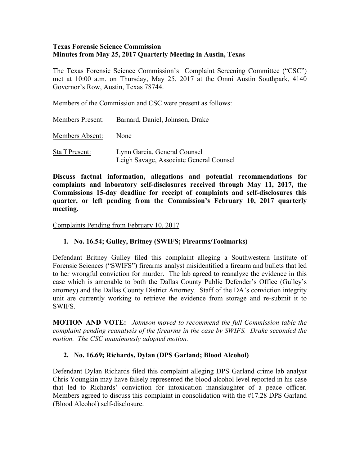#### **Texas Forensic Science Commission Minutes from May 25, 2017 Quarterly Meeting in Austin, Texas**

The Texas Forensic Science Commission's Complaint Screening Committee ("CSC") met at 10:00 a.m. on Thursday, May 25, 2017 at the Omni Austin Southpark, 4140 Governor's Row, Austin, Texas 78744.

Members of the Commission and CSC were present as follows:

| <b>Members Present:</b> | Barnard, Daniel, Johnson, Drake                                         |
|-------------------------|-------------------------------------------------------------------------|
| Members Absent:         | None                                                                    |
| <b>Staff Present:</b>   | Lynn Garcia, General Counsel<br>Leigh Savage, Associate General Counsel |

**Discuss factual information, allegations and potential recommendations for complaints and laboratory self-disclosures received through May 11, 2017, the Commissions 15-day deadline for receipt of complaints and self-disclosures this quarter, or left pending from the Commission's February 10, 2017 quarterly meeting.**

Complaints Pending from February 10, 2017

#### **1. No. 16.54; Gulley, Britney (SWIFS; Firearms/Toolmarks)**

Defendant Britney Gulley filed this complaint alleging a Southwestern Institute of Forensic Sciences ("SWIFS") firearms analyst misidentified a firearm and bullets that led to her wrongful conviction for murder. The lab agreed to reanalyze the evidence in this case which is amenable to both the Dallas County Public Defender's Office (Gulley's attorney) and the Dallas County District Attorney. Staff of the DA's conviction integrity unit are currently working to retrieve the evidence from storage and re-submit it to SWIFS.

**MOTION AND VOTE:** *Johnson moved to recommend the full Commission table the complaint pending reanalysis of the firearms in the case by SWIFS. Drake seconded the motion. The CSC unanimously adopted motion.*

#### **2. No. 16.69; Richards, Dylan (DPS Garland; Blood Alcohol)**

Defendant Dylan Richards filed this complaint alleging DPS Garland crime lab analyst Chris Youngkin may have falsely represented the blood alcohol level reported in his case that led to Richards' conviction for intoxication manslaughter of a peace officer. Members agreed to discuss this complaint in consolidation with the #17.28 DPS Garland (Blood Alcohol) self-disclosure.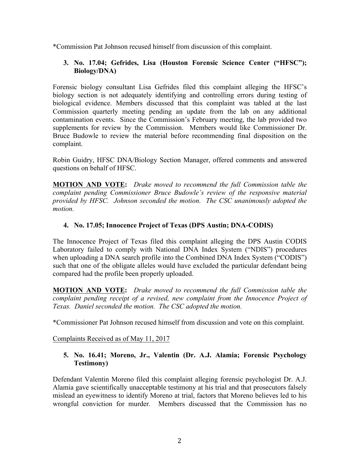\*Commission Pat Johnson recused himself from discussion of this complaint.

# **3. No. 17.04; Gefrides, Lisa (Houston Forensic Science Center ("HFSC"); Biology/DNA)**

Forensic biology consultant Lisa Gefrides filed this complaint alleging the HFSC's biology section is not adequately identifying and controlling errors during testing of biological evidence. Members discussed that this complaint was tabled at the last Commission quarterly meeting pending an update from the lab on any additional contamination events. Since the Commission's February meeting, the lab provided two supplements for review by the Commission. Members would like Commissioner Dr. Bruce Budowle to review the material before recommending final disposition on the complaint.

Robin Guidry, HFSC DNA/Biology Section Manager, offered comments and answered questions on behalf of HFSC.

**MOTION AND VOTE:** *Drake moved to recommend the full Commission table the complaint pending Commissioner Bruce Budowle's review of the responsive material provided by HFSC. Johnson seconded the motion. The CSC unanimously adopted the motion.*

# **4. No. 17.05; Innocence Project of Texas (DPS Austin; DNA-CODIS)**

The Innocence Project of Texas filed this complaint alleging the DPS Austin CODIS Laboratory failed to comply with National DNA Index System ("NDIS") procedures when uploading a DNA search profile into the Combined DNA Index System ("CODIS") such that one of the obligate alleles would have excluded the particular defendant being compared had the profile been properly uploaded.

**MOTION AND VOTE:** *Drake moved to recommend the full Commission table the complaint pending receipt of a revised, new complaint from the Innocence Project of Texas. Daniel seconded the motion. The CSC adopted the motion.*

\*Commissioner Pat Johnson recused himself from discussion and vote on this complaint.

Complaints Received as of May 11, 2017

#### **5. No. 16.41; Moreno, Jr., Valentin (Dr. A.J. Alamia; Forensic Psychology Testimony)**

Defendant Valentin Moreno filed this complaint alleging forensic psychologist Dr. A.J. Alamia gave scientifically unacceptable testimony at his trial and that prosecutors falsely mislead an eyewitness to identify Moreno at trial, factors that Moreno believes led to his wrongful conviction for murder. Members discussed that the Commission has no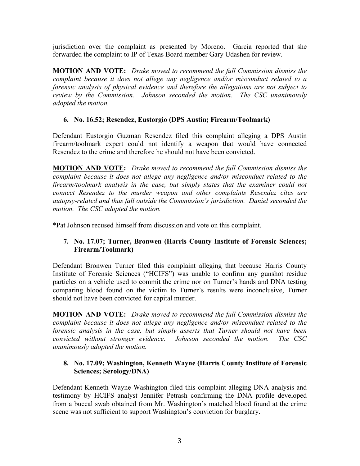jurisdiction over the complaint as presented by Moreno. Garcia reported that she forwarded the complaint to IP of Texas Board member Gary Udashen for review.

**MOTION AND VOTE:** *Drake moved to recommend the full Commission dismiss the complaint because it does not allege any negligence and/or misconduct related to a forensic analysis of physical evidence and therefore the allegations are not subject to review by the Commission. Johnson seconded the motion. The CSC unanimously adopted the motion.* 

# **6. No. 16.52; Resendez, Eustorgio (DPS Austin; Firearm/Toolmark)**

Defendant Eustorgio Guzman Resendez filed this complaint alleging a DPS Austin firearm/toolmark expert could not identify a weapon that would have connected Resendez to the crime and therefore he should not have been convicted.

**MOTION AND VOTE:** *Drake moved to recommend the full Commission dismiss the complaint because it does not allege any negligence and/or misconduct related to the firearm/toolmark analysis in the case, but simply states that the examiner could not connect Resendez to the murder weapon and other complaints Resendez cites are autopsy-related and thus fall outside the Commission's jurisdiction. Daniel seconded the motion. The CSC adopted the motion.*

\*Pat Johnson recused himself from discussion and vote on this complaint.

# **7. No. 17.07; Turner, Bronwen (Harris County Institute of Forensic Sciences; Firearm/Toolmark)**

Defendant Bronwen Turner filed this complaint alleging that because Harris County Institute of Forensic Sciences ("HCIFS") was unable to confirm any gunshot residue particles on a vehicle used to commit the crime nor on Turner's hands and DNA testing comparing blood found on the victim to Turner's results were inconclusive, Turner should not have been convicted for capital murder.

**MOTION AND VOTE:** *Drake moved to recommend the full Commission dismiss the complaint because it does not allege any negligence and/or misconduct related to the forensic analysis in the case, but simply asserts that Turner should not have been convicted without stronger evidence. Johnson seconded the motion. The CSC unanimously adopted the motion.*

#### **8. No. 17.09; Washington, Kenneth Wayne (Harris County Institute of Forensic Sciences; Serology/DNA)**

Defendant Kenneth Wayne Washington filed this complaint alleging DNA analysis and testimony by HCIFS analyst Jennifer Petrash confirming the DNA profile developed from a buccal swab obtained from Mr. Washington's matched blood found at the crime scene was not sufficient to support Washington's conviction for burglary.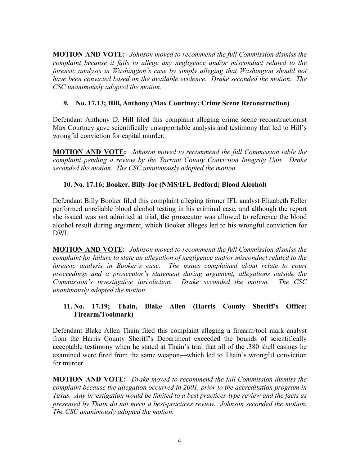**MOTION AND VOTE:** *Johnson moved to recommend the full Commission dismiss the complaint because it fails to allege any negligence and/or misconduct related to the forensic analysis in Washington's case by simply alleging that Washington should not have been convicted based on the available evidence. Drake seconded the motion. The CSC unanimously adopted the motion.*

# **9. No. 17.13; Hill, Anthony (Max Courtney; Crime Scene Reconstruction)**

Defendant Anthony D. Hill filed this complaint alleging crime scene reconstructionist Max Courtney gave scientifically unsupportable analysis and testimony that led to Hill's wrongful conviction for capital murder*.* 

**MOTION AND VOTE:** *Johnson moved to recommend the full Commission table the complaint pending a review by the Tarrant County Conviction Integrity Unit. Drake seconded the motion. The CSC unanimously adopted the motion.*

# **10. No. 17.16; Booker, Billy Joe (NMS/IFL Bedford; Blood Alcohol)**

Defendant Billy Booker filed this complaint alleging former IFL analyst Elizabeth Feller performed unreliable blood alcohol testing in his criminal case, and although the report she issued was not admitted at trial, the prosecutor was allowed to reference the blood alcohol result during argument, which Booker alleges led to his wrongful conviction for DWI.

**MOTION AND VOTE:** *Johnson moved to recommend the full Commission dismiss the complaint for failure to state an allegation of negligence and/or misconduct related to the forensic analysis in Booker's case. The issues complained about relate to court proceedings and a prosecutor's statement during argument, allegations outside the Commission's investigative jurisdiction. Drake seconded the motion. The CSC unanimously adopted the motion.* 

# **11. No. 17.19; Thain, Blake Allen (Harris County Sheriff's Office; Firearm/Toolmark)**

Defendant Blake Allen Thain filed this complaint alleging a firearm/tool mark analyst from the Harris County Sheriff's Department exceeded the bounds of scientifically acceptable testimony when he stated at Thain's trial that all of the .380 shell casings he examined were fired from the same weapon—which led to Thain's wrongful conviction for murder.

**MOTION AND VOTE:** *Drake moved to recommend the full Commission dismiss the complaint because the allegation occurred in 2001, prior to the accreditation program in Texas. Any investigation would be limited to a best practices-type review and the facts as presented by Thain do not merit a best-practices review. Johnson seconded the motion. The CSC unanimously adopted the motion.*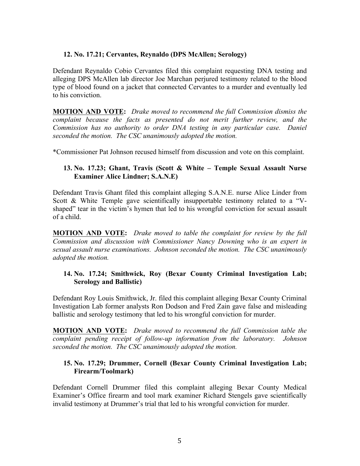#### **12. No. 17.21; Cervantes, Reynaldo (DPS McAllen; Serology)**

Defendant Reynaldo Cobio Cervantes filed this complaint requesting DNA testing and alleging DPS McAllen lab director Joe Marchan perjured testimony related to the blood type of blood found on a jacket that connected Cervantes to a murder and eventually led to his conviction.

**MOTION AND VOTE:** *Drake moved to recommend the full Commission dismiss the complaint because the facts as presented do not merit further review, and the Commission has no authority to order DNA testing in any particular case. Daniel seconded the motion. The CSC unanimously adopted the motion.*

\*Commissioner Pat Johnson recused himself from discussion and vote on this complaint.

# **13. No. 17.23; Ghant, Travis (Scott & White – Temple Sexual Assault Nurse Examiner Alice Lindner; S.A.N.E)**

Defendant Travis Ghant filed this complaint alleging S.A.N.E. nurse Alice Linder from Scott & White Temple gave scientifically insupportable testimony related to a "Vshaped" tear in the victim's hymen that led to his wrongful conviction for sexual assault of a child.

**MOTION AND VOTE:** *Drake moved to table the complaint for review by the full Commission and discussion with Commissioner Nancy Downing who is an expert in sexual assault nurse examinations. Johnson seconded the motion. The CSC unanimously adopted the motion.* 

#### **14. No. 17.24; Smithwick, Roy (Bexar County Criminal Investigation Lab; Serology and Ballistic)**

Defendant Roy Louis Smithwick, Jr. filed this complaint alleging Bexar County Criminal Investigation Lab former analysts Ron Dodson and Fred Zain gave false and misleading ballistic and serology testimony that led to his wrongful conviction for murder.

**MOTION AND VOTE:** *Drake moved to recommend the full Commission table the complaint pending receipt of follow-up information from the laboratory. Johnson seconded the motion. The CSC unanimously adopted the motion.*

#### **15. No. 17.29; Drummer, Cornell (Bexar County Criminal Investigation Lab; Firearm/Toolmark)**

Defendant Cornell Drummer filed this complaint alleging Bexar County Medical Examiner's Office firearm and tool mark examiner Richard Stengels gave scientifically invalid testimony at Drummer's trial that led to his wrongful conviction for murder.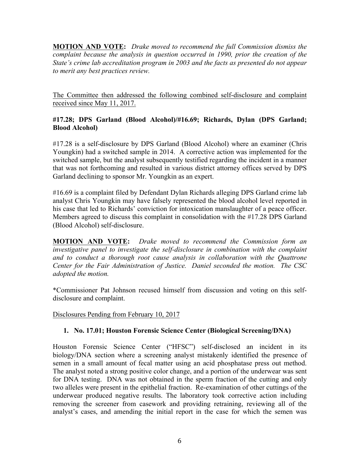**MOTION AND VOTE:** *Drake moved to recommend the full Commission dismiss the complaint because the analysis in question occurred in 1990, prior the creation of the State's crime lab accreditation program in 2003 and the facts as presented do not appear to merit any best practices review.* 

The Committee then addressed the following combined self-disclosure and complaint received since May 11, 2017.

# **#17.28; DPS Garland (Blood Alcohol)/#16.69; Richards, Dylan (DPS Garland; Blood Alcohol)**

#17.28 is a self-disclosure by DPS Garland (Blood Alcohol) where an examiner (Chris Youngkin) had a switched sample in 2014. A corrective action was implemented for the switched sample, but the analyst subsequently testified regarding the incident in a manner that was not forthcoming and resulted in various district attorney offices served by DPS Garland declining to sponsor Mr. Youngkin as an expert.

#16.69 is a complaint filed by Defendant Dylan Richards alleging DPS Garland crime lab analyst Chris Youngkin may have falsely represented the blood alcohol level reported in his case that led to Richards' conviction for intoxication manslaughter of a peace officer. Members agreed to discuss this complaint in consolidation with the #17.28 DPS Garland (Blood Alcohol) self-disclosure.

**MOTION AND VOTE:** *Drake moved to recommend the Commission form an investigative panel to investigate the self-disclosure in combination with the complaint and to conduct a thorough root cause analysis in collaboration with the Quattrone Center for the Fair Administration of Justice. Daniel seconded the motion. The CSC adopted the motion.*

\*Commissioner Pat Johnson recused himself from discussion and voting on this selfdisclosure and complaint.

Disclosures Pending from February 10, 2017

#### **1. No. 17.01; Houston Forensic Science Center (Biological Screening/DNA)**

Houston Forensic Science Center ("HFSC") self-disclosed an incident in its biology/DNA section where a screening analyst mistakenly identified the presence of semen in a small amount of fecal matter using an acid phosphatase press out method. The analyst noted a strong positive color change, and a portion of the underwear was sent for DNA testing. DNA was not obtained in the sperm fraction of the cutting and only two alleles were present in the epithelial fraction. Re-examination of other cuttings of the underwear produced negative results. The laboratory took corrective action including removing the screener from casework and providing retraining, reviewing all of the analyst's cases, and amending the initial report in the case for which the semen was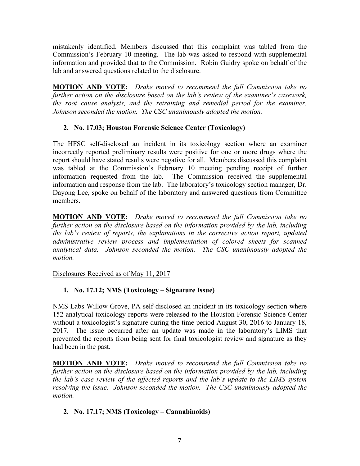mistakenly identified. Members discussed that this complaint was tabled from the Commission's February 10 meeting. The lab was asked to respond with supplemental information and provided that to the Commission. Robin Guidry spoke on behalf of the lab and answered questions related to the disclosure.

**MOTION AND VOTE:** *Drake moved to recommend the full Commission take no further action on the disclosure based on the lab's review of the examiner's casework, the root cause analysis, and the retraining and remedial period for the examiner. Johnson seconded the motion. The CSC unanimously adopted the motion.* 

# **2. No. 17.03; Houston Forensic Science Center (Toxicology)**

The HFSC self-disclosed an incident in its toxicology section where an examiner incorrectly reported preliminary results were positive for one or more drugs where the report should have stated results were negative for all. Members discussed this complaint was tabled at the Commission's February 10 meeting pending receipt of further information requested from the lab. The Commission received the supplemental information and response from the lab. The laboratory's toxicology section manager, Dr. Dayong Lee, spoke on behalf of the laboratory and answered questions from Committee members.

**MOTION AND VOTE:** *Drake moved to recommend the full Commission take no further action on the disclosure based on the information provided by the lab, including the lab's review of reports, the explanations in the corrective action report, updated administrative review process and implementation of colored sheets for scanned analytical data. Johnson seconded the motion. The CSC unanimously adopted the motion.*

Disclosures Received as of May 11, 2017

# **1. No. 17.12; NMS (Toxicology – Signature Issue)**

NMS Labs Willow Grove, PA self-disclosed an incident in its toxicology section where 152 analytical toxicology reports were released to the Houston Forensic Science Center without a toxicologist's signature during the time period August 30, 2016 to January 18, 2017. The issue occurred after an update was made in the laboratory's LIMS that prevented the reports from being sent for final toxicologist review and signature as they had been in the past.

**MOTION AND VOTE:** *Drake moved to recommend the full Commission take no further action on the disclosure based on the information provided by the lab, including the lab's case review of the affected reports and the lab's update to the LIMS system resolving the issue. Johnson seconded the motion. The CSC unanimously adopted the motion.*

# **2. No. 17.17; NMS (Toxicology – Cannabinoids)**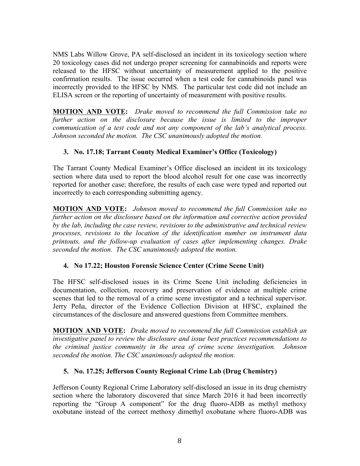NMS Labs Willow Grove, PA self-disclosed an incident in its toxicology section where 20 toxicology cases did not undergo proper screening for cannabinoids and reports were released to the HFSC without uncertainty of measurement applied to the positive confirmation results. The issue occurred when a test code for cannabinoids panel was incorrectly provided to the HFSC by NMS. The particular test code did not include an ELISA screen or the reporting of uncertainty of measurement with positive results.

**MOTION AND VOTE:** *Drake moved to recommend the full Commission take no further action on the disclosure because the issue is limited to the improper communication of a test code and not any component of the lab's analytical process. Johnson seconded the motion. The CSC unanimously adopted the motion.*

# **3. No. 17.18; Tarrant County Medical Examiner's Office (Toxicology)**

The Tarrant County Medical Examiner's Office disclosed an incident in its toxicology section where data used to report the blood alcohol result for one case was incorrectly reported for another case; therefore, the results of each case were typed and reported out incorrectly to each corresponding submitting agency.

**MOTION AND VOTE:** *Johnson moved to recommend the full Commission take no further action on the disclosure based on the information and corrective action provided by the lab, including the case review, revisions to the administrative and technical review processes, revisions to the location of the identification number on instrument data printouts, and the follow-up evaluation of cases after implementing changes. Drake seconded the motion. The CSC unanimously adopted the motion.*

#### **4. No 17.22; Houston Forensic Science Center (Crime Scene Unit)**

The HFSC self-disclosed issues in its Crime Scene Unit including deficiencies in documentation, collection, recovery and preservation of evidence at multiple crime scenes that led to the removal of a crime scene investigator and a technical supervisor. Jerry Peña, director of the Evidence Collection Division at HFSC, explained the circumstances of the disclosure and answered questions from Committee members.

**MOTION AND VOTE:** *Drake moved to recommend the full Commission establish an investigative panel to review the disclosure and issue best practices recommendations to the criminal justice community in the area of crime scene investigation. Johnson seconded the motion. The CSC unanimously adopted the motion.*

#### **5. No. 17.25; Jefferson County Regional Crime Lab (Drug Chemistry)**

Jefferson County Regional Crime Laboratory self-disclosed an issue in its drug chemistry section where the laboratory discovered that since March 2016 it had been incorrectly reporting the "Group A component" for the drug fluoro-ADB as methyl methoxy oxobutane instead of the correct methoxy dimethyl oxobutane where fluoro-ADB was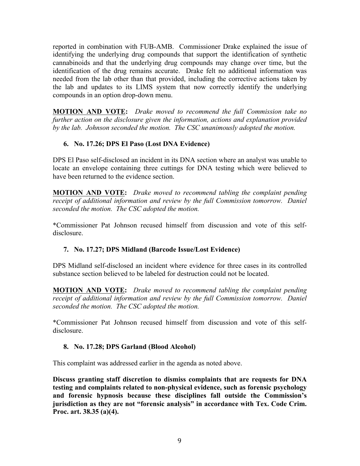reported in combination with FUB-AMB. Commissioner Drake explained the issue of identifying the underlying drug compounds that support the identification of synthetic cannabinoids and that the underlying drug compounds may change over time, but the identification of the drug remains accurate. Drake felt no additional information was needed from the lab other than that provided, including the corrective actions taken by the lab and updates to its LIMS system that now correctly identify the underlying compounds in an option drop-down menu.

**MOTION AND VOTE:** *Drake moved to recommend the full Commission take no further action on the disclosure given the information, actions and explanation provided by the lab. Johnson seconded the motion. The CSC unanimously adopted the motion.* 

# **6. No. 17.26; DPS El Paso (Lost DNA Evidence)**

DPS El Paso self-disclosed an incident in its DNA section where an analyst was unable to locate an envelope containing three cuttings for DNA testing which were believed to have been returned to the evidence section.

**MOTION AND VOTE:** *Drake moved to recommend tabling the complaint pending receipt of additional information and review by the full Commission tomorrow. Daniel seconded the motion. The CSC adopted the motion.*

\*Commissioner Pat Johnson recused himself from discussion and vote of this selfdisclosure.

#### **7. No. 17.27; DPS Midland (Barcode Issue/Lost Evidence)**

DPS Midland self-disclosed an incident where evidence for three cases in its controlled substance section believed to be labeled for destruction could not be located.

**MOTION AND VOTE:** *Drake moved to recommend tabling the complaint pending receipt of additional information and review by the full Commission tomorrow. Daniel seconded the motion. The CSC adopted the motion.*

\*Commissioner Pat Johnson recused himself from discussion and vote of this selfdisclosure.

#### **8. No. 17.28; DPS Garland (Blood Alcohol)**

This complaint was addressed earlier in the agenda as noted above.

**Discuss granting staff discretion to dismiss complaints that are requests for DNA testing and complaints related to non-physical evidence, such as forensic psychology and forensic hypnosis because these disciplines fall outside the Commission's jurisdiction as they are not "forensic analysis" in accordance with Tex. Code Crim. Proc. art. 38.35 (a)(4).**